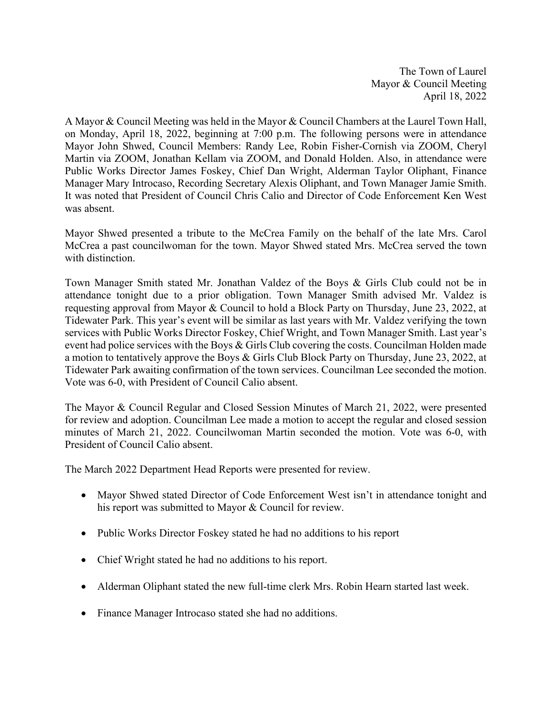The Town of Laurel Mayor & Council Meeting April 18, 2022

A Mayor & Council Meeting was held in the Mayor & Council Chambers at the Laurel Town Hall, on Monday, April 18, 2022, beginning at 7:00 p.m. The following persons were in attendance Mayor John Shwed, Council Members: Randy Lee, Robin Fisher-Cornish via ZOOM, Cheryl Martin via ZOOM, Jonathan Kellam via ZOOM, and Donald Holden. Also, in attendance were Public Works Director James Foskey, Chief Dan Wright, Alderman Taylor Oliphant, Finance Manager Mary Introcaso, Recording Secretary Alexis Oliphant, and Town Manager Jamie Smith. It was noted that President of Council Chris Calio and Director of Code Enforcement Ken West was absent.

Mayor Shwed presented a tribute to the McCrea Family on the behalf of the late Mrs. Carol McCrea a past councilwoman for the town. Mayor Shwed stated Mrs. McCrea served the town with distinction.

Town Manager Smith stated Mr. Jonathan Valdez of the Boys & Girls Club could not be in attendance tonight due to a prior obligation. Town Manager Smith advised Mr. Valdez is requesting approval from Mayor & Council to hold a Block Party on Thursday, June 23, 2022, at Tidewater Park. This year's event will be similar as last years with Mr. Valdez verifying the town services with Public Works Director Foskey, Chief Wright, and Town Manager Smith. Last year's event had police services with the Boys & Girls Club covering the costs. Councilman Holden made a motion to tentatively approve the Boys & Girls Club Block Party on Thursday, June 23, 2022, at Tidewater Park awaiting confirmation of the town services. Councilman Lee seconded the motion. Vote was 6-0, with President of Council Calio absent.

The Mayor & Council Regular and Closed Session Minutes of March 21, 2022, were presented for review and adoption. Councilman Lee made a motion to accept the regular and closed session minutes of March 21, 2022. Councilwoman Martin seconded the motion. Vote was 6-0, with President of Council Calio absent.

The March 2022 Department Head Reports were presented for review.

- Mayor Shwed stated Director of Code Enforcement West isn't in attendance tonight and his report was submitted to Mayor & Council for review.
- Public Works Director Foskey stated he had no additions to his report
- Chief Wright stated he had no additions to his report.
- Alderman Oliphant stated the new full-time clerk Mrs. Robin Hearn started last week.
- Finance Manager Introcaso stated she had no additions.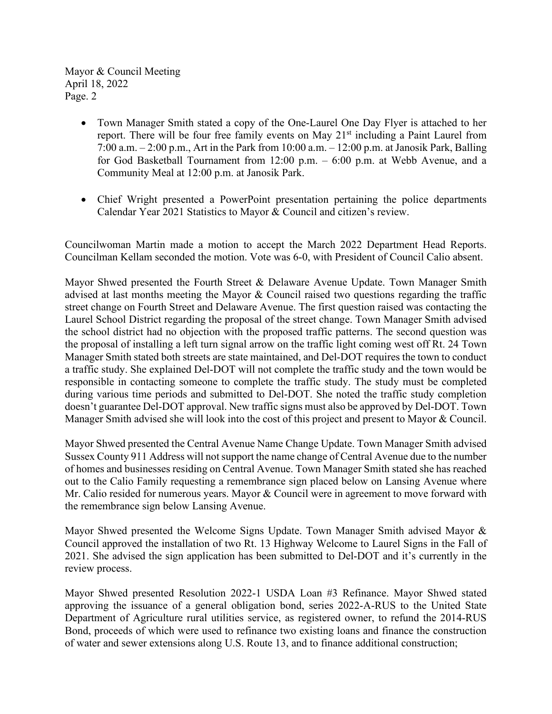Mayor & Council Meeting April 18, 2022 Page. 2

- Town Manager Smith stated a copy of the One-Laurel One Day Flyer is attached to her report. There will be four free family events on May  $21<sup>st</sup>$  including a Paint Laurel from 7:00 a.m. – 2:00 p.m., Art in the Park from 10:00 a.m. – 12:00 p.m. at Janosik Park, Balling for God Basketball Tournament from 12:00 p.m. – 6:00 p.m. at Webb Avenue, and a Community Meal at 12:00 p.m. at Janosik Park.
- Chief Wright presented a PowerPoint presentation pertaining the police departments Calendar Year 2021 Statistics to Mayor & Council and citizen's review.

Councilwoman Martin made a motion to accept the March 2022 Department Head Reports. Councilman Kellam seconded the motion. Vote was 6-0, with President of Council Calio absent.

Mayor Shwed presented the Fourth Street & Delaware Avenue Update. Town Manager Smith advised at last months meeting the Mayor & Council raised two questions regarding the traffic street change on Fourth Street and Delaware Avenue. The first question raised was contacting the Laurel School District regarding the proposal of the street change. Town Manager Smith advised the school district had no objection with the proposed traffic patterns. The second question was the proposal of installing a left turn signal arrow on the traffic light coming west off Rt. 24 Town Manager Smith stated both streets are state maintained, and Del-DOT requires the town to conduct a traffic study. She explained Del-DOT will not complete the traffic study and the town would be responsible in contacting someone to complete the traffic study. The study must be completed during various time periods and submitted to Del-DOT. She noted the traffic study completion doesn't guarantee Del-DOT approval. New traffic signs must also be approved by Del-DOT. Town Manager Smith advised she will look into the cost of this project and present to Mayor & Council.

Mayor Shwed presented the Central Avenue Name Change Update. Town Manager Smith advised Sussex County 911 Address will not support the name change of Central Avenue due to the number of homes and businesses residing on Central Avenue. Town Manager Smith stated she has reached out to the Calio Family requesting a remembrance sign placed below on Lansing Avenue where Mr. Calio resided for numerous years. Mayor & Council were in agreement to move forward with the remembrance sign below Lansing Avenue.

Mayor Shwed presented the Welcome Signs Update. Town Manager Smith advised Mayor & Council approved the installation of two Rt. 13 Highway Welcome to Laurel Signs in the Fall of 2021. She advised the sign application has been submitted to Del-DOT and it's currently in the review process.

Mayor Shwed presented Resolution 2022-1 USDA Loan #3 Refinance. Mayor Shwed stated approving the issuance of a general obligation bond, series 2022-A-RUS to the United State Department of Agriculture rural utilities service, as registered owner, to refund the 2014-RUS Bond, proceeds of which were used to refinance two existing loans and finance the construction of water and sewer extensions along U.S. Route 13, and to finance additional construction;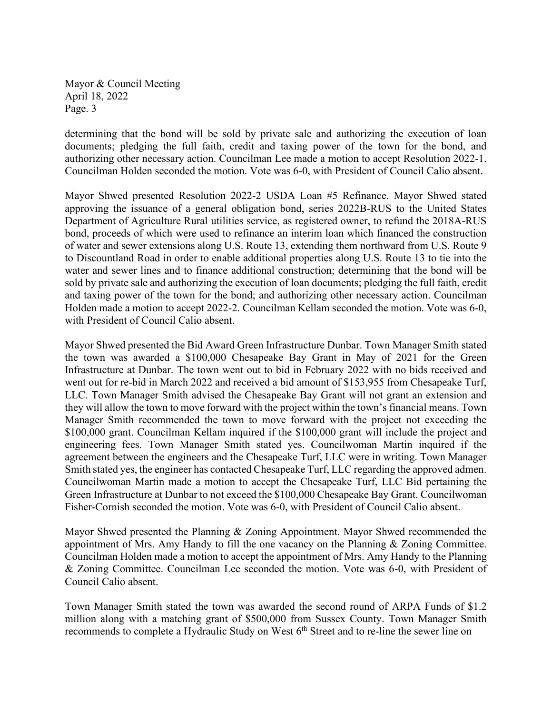Mayor & Council Meeting April 18, 2022 Page. 3

determining that the bond will be sold by private sale and authorizing the execution of loan documents; pledging the full faith, credit and taxing power of the town for the bond, and authorizing other necessary action. Councilman Lee made a motion to accept Resolution 2022-1. Councilman Holden seconded the motion. Vote was 6-0, with President of Council Calio absent.

Mayor Shwed presented Resolution 2022-2 USDA Loan #5 Refinance. Mayor Shwed stated approving the issuance of a general obligation bond, series 2022B-RUS to the United States Department of Agriculture Rural utilities service, as registered owner, to refund the 2018A-RUS bond, proceeds of which were used to refinance an interim loan which financed the construction of water and sewer extensions along U.S. Route 13, extending them northward from U.S. Route 9 to Discountland Road in order to enable additional properties along U.S. Route 13 to tie into the water and sewer lines and to finance additional construction; determining that the bond will be sold by private sale and authorizing the execution of loan documents; pledging the full faith, credit and taxing power of the town for the bond; and authorizing other necessary action. Councilman Holden made a motion to accept 2022-2. Councilman Kellam seconded the motion. Vote was 6-0, with President of Council Calio absent.

Mayor Shwed presented the Bid Award Green Infrastructure Dunbar. Town Manager Smith stated the town was awarded a \$100,000 Chesapeake Bay Grant in May of 2021 for the Green Infrastructure at Dunbar. The town went out to bid in February 2022 with no bids received and went out for re-bid in March 2022 and received a bid amount of \$153,955 from Chesapeake Turf, LLC. Town Manager Smith advised the Chesapeake Bay Grant will not grant an extension and they will allow the town to move forward with the project within the town's financial means. Town Manager Smith recommended the town to move forward with the project not exceeding the \$100,000 grant. Councilman Kellam inquired if the \$100,000 grant will include the project and engineering fees. Town Manager Smith stated yes. Councilwoman Martin inquired if the agreement between the engineers and the Chesapeake Turf, LLC were in writing. Town Manager Smith stated yes, the engineer has contacted Chesapeake Turf, LLC regarding the approved admen. Councilwoman Martin made a motion to accept the Chesapeake Turf, LLC Bid pertaining the Green Infrastructure at Dunbar to not exceed the \$100,000 Chesapeake Bay Grant. Councilwoman Fisher-Cornish seconded the motion. Vote was 6-0, with President of Council Calio absent.

Mayor Shwed presented the Planning & Zoning Appointment. Mayor Shwed recommended the appointment of Mrs. Amy Handy to fill the one vacancy on the Planning & Zoning Committee. Councilman Holden made a motion to accept the appointment of Mrs. Amy Handy to the Planning & Zoning Committee. Councilman Lee seconded the motion. Vote was 6-0, with President of Council Calio absent.

Town Manager Smith stated the town was awarded the second round of ARPA Funds of \$1.2 million along with a matching grant of \$500,000 from Sussex County. Town Manager Smith recommends to complete a Hydraulic Study on West 6<sup>th</sup> Street and to re-line the sewer line on